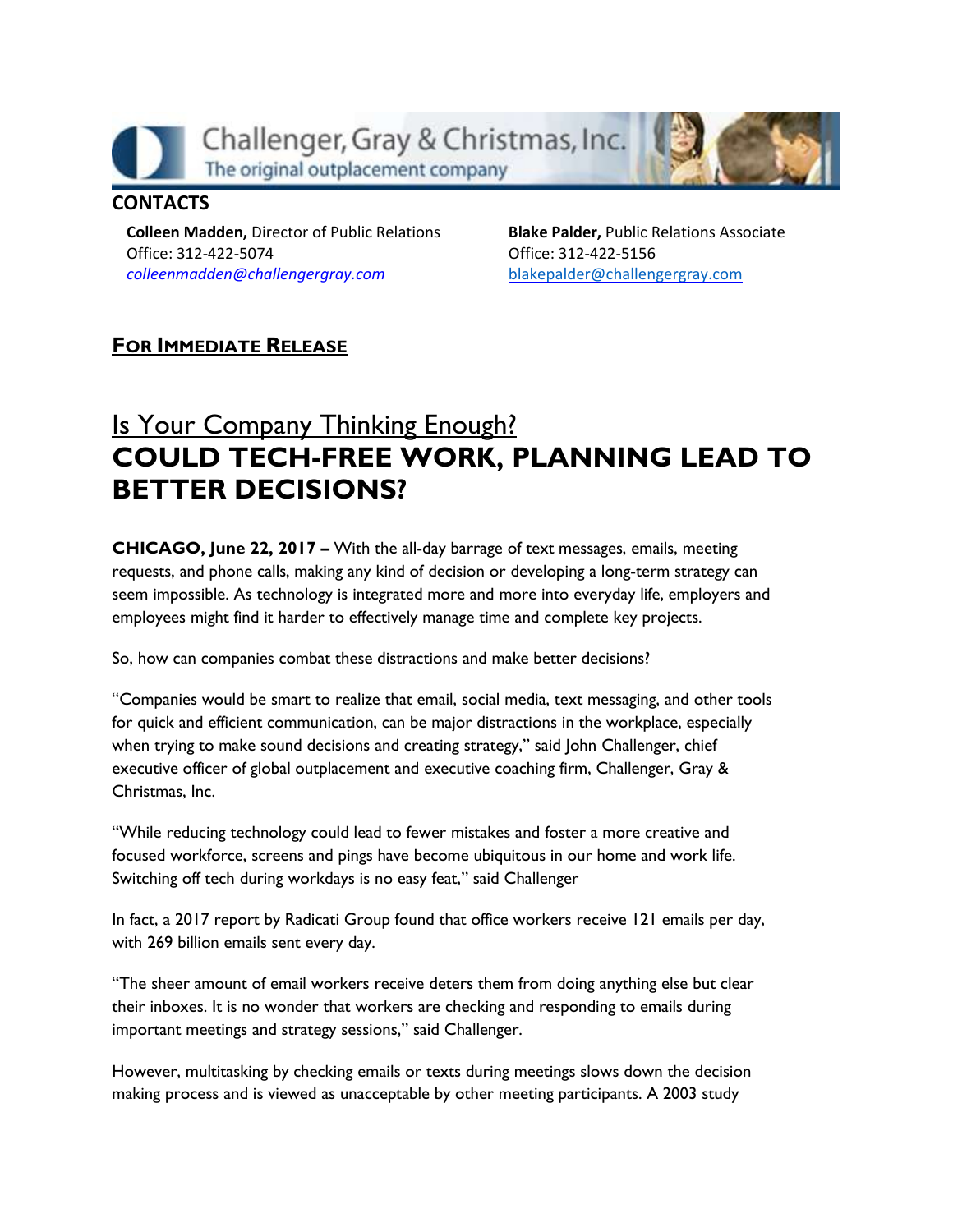

## **CONTACTS**

**Colleen Madden,** Director of Public Relations Office: 312-422-5074 *[colleenmadden@challengergray.com](mailto:colleenmadden@challengergray.com)*

**Blake Palder,** Public Relations Associate Office: 312-422-5156 [blakepalder@challengergray.com](mailto:blakepalder@challengergray.com)

## FOR IMMEDIATE RELEASE

## Is Your Company Thinking Enough? COULD TECH-FREE WORK, PLANNING LEAD TO BETTER DECISIONS?

CHICAGO, June 22, 2017 – With the all-day barrage of text messages, emails, meeting requests, and phone calls, making any kind of decision or developing a long-term strategy can seem impossible. As technology is integrated more and more into everyday life, employers and employees might find it harder to effectively manage time and complete key projects.

So, how can companies combat these distractions and make better decisions?

"Companies would be smart to realize that email, social media, text messaging, and other tools for quick and efficient communication, can be major distractions in the workplace, especially when trying to make sound decisions and creating strategy," said John Challenger, chief executive officer of global outplacement and executive coaching firm, Challenger, Gray & Christmas, Inc.

"While reducing technology could lead to fewer mistakes and foster a more creative and focused workforce, screens and pings have become ubiquitous in our home and work life. Switching off tech during workdays is no easy feat," said Challenger

In fact, a 2017 report by Radicati Group found that office workers receive 121 emails per day, with 269 billion emails sent every day.

"The sheer amount of email workers receive deters them from doing anything else but clear their inboxes. It is no wonder that workers are checking and responding to emails during important meetings and strategy sessions," said Challenger.

However, multitasking by checking emails or texts during meetings slows down the decision making process and is viewed as unacceptable by other meeting participants. A 2003 study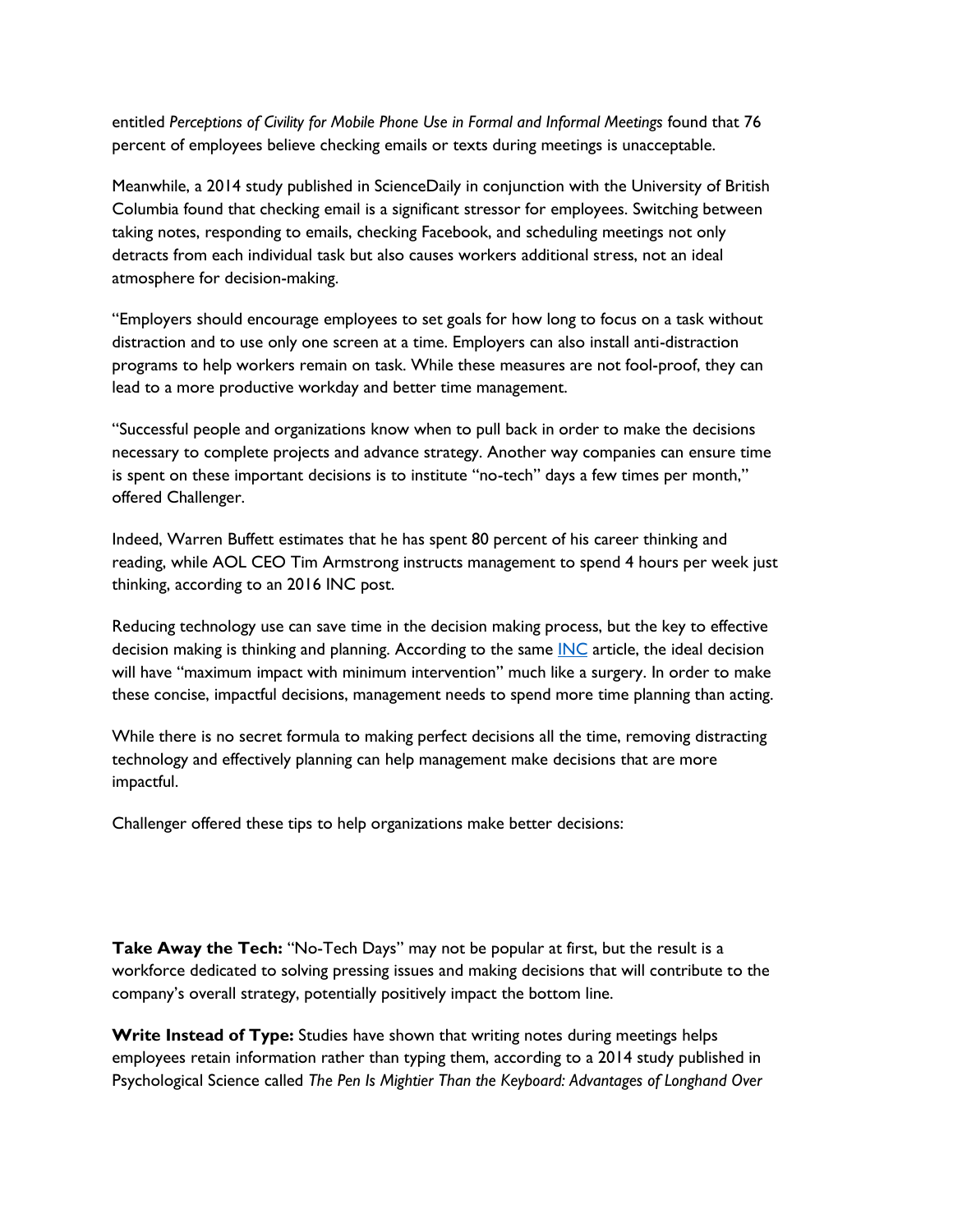entitled *Perceptions of Civility for Mobile Phone Use in Formal and Informal Meetings* found that 76 percent of employees believe checking emails or texts during meetings is unacceptable.

Meanwhile, a 2014 study published in ScienceDaily in conjunction with the University of British Columbia found that checking email is a significant stressor for employees. Switching between taking notes, responding to emails, checking Facebook, and scheduling meetings not only detracts from each individual task but also causes workers additional stress, not an ideal atmosphere for decision-making.

"Employers should encourage employees to set goals for how long to focus on a task without distraction and to use only one screen at a time. Employers can also install anti-distraction programs to help workers remain on task. While these measures are not fool-proof, they can lead to a more productive workday and better time management.

"Successful people and organizations know when to pull back in order to make the decisions necessary to complete projects and advance strategy. Another way companies can ensure time is spent on these important decisions is to institute "no-tech" days a few times per month," offered Challenger.

Indeed, Warren Buffett estimates that he has spent 80 percent of his career thinking and reading, while AOL CEO Tim Armstrong instructs management to spend 4 hours per week just thinking, according to an 2016 INC post.

Reducing technology use can save time in the decision making process, but the key to effective decision making is thinking and planning. According to the same [INC](http://www.inc.com/empact/why-successful-people-spend-10-hours-a-week-just-thinking.html) article, the ideal decision will have "maximum impact with minimum intervention" much like a surgery. In order to make these concise, impactful decisions, management needs to spend more time planning than acting.

While there is no secret formula to making perfect decisions all the time, removing distracting technology and effectively planning can help management make decisions that are more impactful.

Challenger offered these tips to help organizations make better decisions:

Take Away the Tech: "No-Tech Days" may not be popular at first, but the result is a workforce dedicated to solving pressing issues and making decisions that will contribute to the company's overall strategy, potentially positively impact the bottom line.

Write Instead of Type: Studies have shown that writing notes during meetings helps employees retain information rather than typing them, according to a 2014 study published in Psychological Science called *The Pen Is Mightier Than the Keyboard: Advantages of Longhand Over*